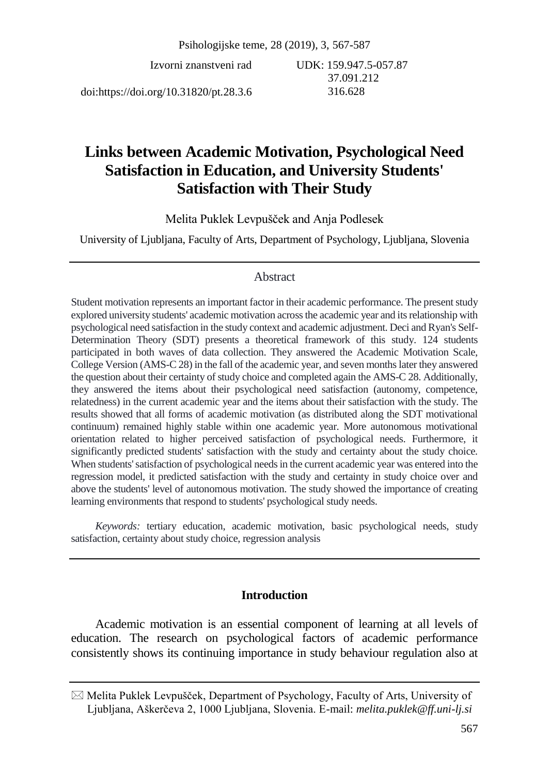Izvorni znanstveni rad

UDK: 159.947.5-057.87 37.091.212 316.628

doi:https://doi.org/10.31820/pt.28.3.6

# **Links between Academic Motivation, Psychological Need Satisfaction in Education, and University Students' Satisfaction with Their Study**

Melita Puklek Levpušček and Anja Podlesek

University of Ljubljana, Faculty of Arts, Department of Psychology, Ljubljana, Slovenia

### Abstract

Student motivation represents an important factor in their academic performance. The present study explored university students' academic motivation across the academic year and its relationship with psychological need satisfaction in the study context and academic adjustment. Deci and Ryan's Self-Determination Theory (SDT) presents a theoretical framework of this study. 124 students participated in both waves of data collection. They answered the Academic Motivation Scale, College Version (AMS-C 28) in the fall of the academic year, and seven months later they answered the question about their certainty of study choice and completed again the AMS-C 28. Additionally, they answered the items about their psychological need satisfaction (autonomy, competence, relatedness) in the current academic year and the items about their satisfaction with the study. The results showed that all forms of academic motivation (as distributed along the SDT motivational continuum) remained highly stable within one academic year. More autonomous motivational orientation related to higher perceived satisfaction of psychological needs. Furthermore, it significantly predicted students' satisfaction with the study and certainty about the study choice. When students' satisfaction of psychological needs in the current academic year was entered into the regression model, it predicted satisfaction with the study and certainty in study choice over and above the students' level of autonomous motivation. The study showed the importance of creating learning environments that respond to students' psychological study needs.

*Keywords:* tertiary education, academic motivation, basic psychological needs, study satisfaction, certainty about study choice, regression analysis

# **Introduction**

Academic motivation is an essential component of learning at all levels of education. The research on psychological factors of academic performance consistently shows its continuing importance in study behaviour regulation also at

 $\boxtimes$  Melita Puklek Levpušček, Department of Psychology, Faculty of Arts, University of Ljubljana, Aškerčeva 2, 1000 Ljubljana, Slovenia. E-mail: *melita.puklek@ff.uni-lj.si*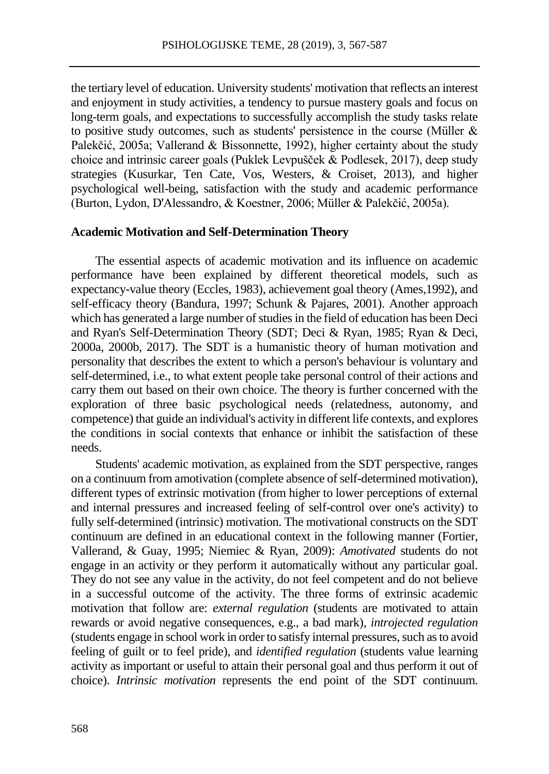the tertiary level of education. University students' motivation that reflects an interest and enjoyment in study activities, a tendency to pursue mastery goals and focus on long-term goals, and expectations to successfully accomplish the study tasks relate to positive study outcomes, such as students' persistence in the course (Müller & Palekčić, 2005a; Vallerand & Bissonnette, 1992), higher certainty about the study choice and intrinsic career goals (Puklek Levpušček & Podlesek, 2017), deep study strategies (Kusurkar, Ten Cate, Vos, Westers, & Croiset, 2013), and higher psychological well-being, satisfaction with the study and academic performance (Burton, Lydon, D'Alessandro, & Koestner, 2006; Müller & Palekčić, 2005a).

#### **Academic Motivation and Self-Determination Theory**

The essential aspects of academic motivation and its influence on academic performance have been explained by different theoretical models, such as expectancy-value theory (Eccles, 1983), achievement goal theory (Ames,1992), and self-efficacy theory (Bandura, 1997; Schunk & Pajares, 2001). Another approach which has generated a large number of studies in the field of education has been Deci and Ryan's Self-Determination Theory (SDT; Deci & Ryan, 1985; Ryan & Deci, 2000a, 2000b, 2017). The SDT is a humanistic theory of human motivation and personality that describes the extent to which a person's behaviour is voluntary and self-determined, i.e., to what extent people take personal control of their actions and carry them out based on their own choice. The theory is further concerned with the exploration of three basic psychological needs (relatedness, autonomy, and competence) that guide an individual's activity in different life contexts, and explores the conditions in social contexts that enhance or inhibit the satisfaction of these needs.

Students' academic motivation, as explained from the SDT perspective, ranges on a continuum from amotivation (complete absence of self-determined motivation), different types of extrinsic motivation (from higher to lower perceptions of external and internal pressures and increased feeling of self-control over one's activity) to fully self-determined (intrinsic) motivation. The motivational constructs on the SDT continuum are defined in an educational context in the following manner (Fortier, Vallerand, & Guay, 1995; Niemiec & Ryan, 2009): *Amotivated* students do not engage in an activity or they perform it automatically without any particular goal. They do not see any value in the activity, do not feel competent and do not believe in a successful outcome of the activity. The three forms of extrinsic academic motivation that follow are: *external regulation* (students are motivated to attain rewards or avoid negative consequences, e.g., a bad mark), *introjected regulation* (students engage in school work in order to satisfy internal pressures, such as to avoid feeling of guilt or to feel pride), and *identified regulation* (students value learning activity as important or useful to attain their personal goal and thus perform it out of choice). *Intrinsic motivation* represents the end point of the SDT continuum.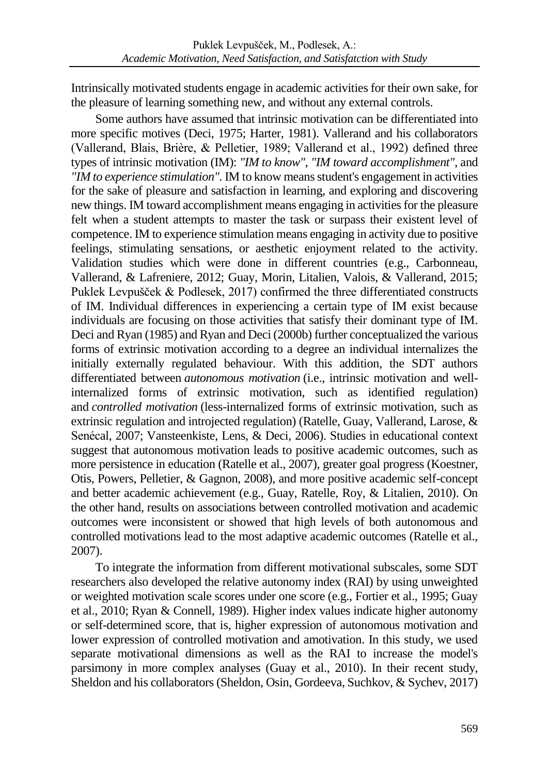Intrinsically motivated students engage in academic activities for their own sake, for the pleasure of learning something new, and without any external controls.

Some authors have assumed that intrinsic motivation can be differentiated into more specific motives (Deci, 1975; Harter, 1981). Vallerand and his collaborators (Vallerand, Blais, Brière, & Pelletier, 1989; Vallerand et al., 1992) defined three types of intrinsic motivation (IM): *"IM to know"*, *"IM toward accomplishment"*, and *"IM to experience stimulation".* IM to know means student's engagement in activities for the sake of pleasure and satisfaction in learning, and exploring and discovering new things. IM toward accomplishment means engaging in activities for the pleasure felt when a student attempts to master the task or surpass their existent level of competence. IM to experience stimulation means engaging in activity due to positive feelings, stimulating sensations, or aesthetic enjoyment related to the activity. Validation studies which were done in different countries (e.g., Carbonneau, Vallerand, & Lafreniere, 2012; Guay, Morin, Litalien, Valois, & Vallerand, 2015; Puklek Levpušček & Podlesek, 2017) confirmed the three differentiated constructs of IM. Individual differences in experiencing a certain type of IM exist because individuals are focusing on those activities that satisfy their dominant type of IM. Deci and Ryan (1985) and Ryan and Deci (2000b) further conceptualized the various forms of extrinsic motivation according to a degree an individual internalizes the initially externally regulated behaviour. With this addition, the SDT authors differentiated between *autonomous motivation* (i.e., intrinsic motivation and wellinternalized forms of extrinsic motivation, such as identified regulation) and *controlled motivation* (less-internalized forms of extrinsic motivation, such as extrinsic regulation and introjected regulation) (Ratelle, Guay, Vallerand, Larose, & Senécal, 2007; Vansteenkiste, Lens, & Deci, 2006). Studies in educational context suggest that autonomous motivation leads to positive academic outcomes, such as more persistence in education (Ratelle et al., 2007), greater goal progress (Koestner, Otis, Powers, Pelletier, & Gagnon, 2008), and more positive academic self-concept and better academic achievement (e.g., Guay, Ratelle, Roy, & Litalien, 2010). On the other hand, results on associations between controlled motivation and academic outcomes were inconsistent or showed that high levels of both autonomous and controlled motivations lead to the most adaptive academic outcomes (Ratelle et al., 2007).

To integrate the information from different motivational subscales, some SDT researchers also developed the relative autonomy index (RAI) by using unweighted or weighted motivation scale scores under one score (e.g., Fortier et al., 1995; Guay et al., 2010; Ryan & Connell, 1989). Higher index values indicate higher autonomy or self-determined score, that is, higher expression of autonomous motivation and lower expression of controlled motivation and amotivation. In this study, we used separate motivational dimensions as well as the RAI to increase the model's parsimony in more complex analyses (Guay et al., 2010). In their recent study, Sheldon and his collaborators (Sheldon, Osin, Gordeeva, Suchkov, & Sychev, 2017)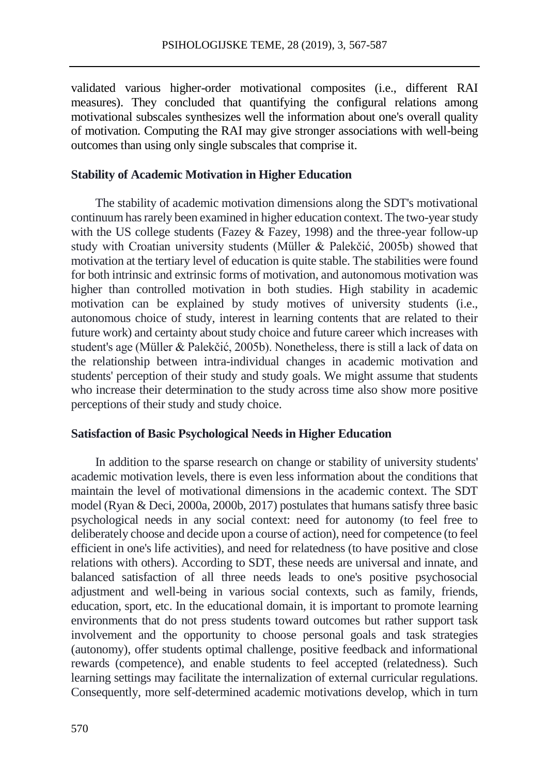validated various higher-order motivational composites (i.e., different RAI measures). They concluded that quantifying the configural relations among motivational subscales synthesizes well the information about one's overall quality of motivation. Computing the RAI may give stronger associations with well-being outcomes than using only single subscales that comprise it.

# **Stability of Academic Motivation in Higher Education**

The stability of academic motivation dimensions along the SDT's motivational continuum has rarely been examined in higher education context. The two-year study with the US college students (Fazey & Fazey, 1998) and the three-year follow-up study with Croatian university students (Müller & Palekčić, 2005b) showed that motivation at the tertiary level of education is quite stable. The stabilities were found for both intrinsic and extrinsic forms of motivation, and autonomous motivation was higher than controlled motivation in both studies. High stability in academic motivation can be explained by study motives of university students (i.e., autonomous choice of study, interest in learning contents that are related to their future work) and certainty about study choice and future career which increases with student's age (Müller & Palekčić, 2005b). Nonetheless, there is still a lack of data on the relationship between intra-individual changes in academic motivation and students' perception of their study and study goals. We might assume that students who increase their determination to the study across time also show more positive perceptions of their study and study choice.

### **Satisfaction of Basic Psychological Needs in Higher Education**

In addition to the sparse research on change or stability of university students' academic motivation levels, there is even less information about the conditions that maintain the level of motivational dimensions in the academic context. The SDT model (Ryan & Deci, 2000a, 2000b, 2017) postulates that humans satisfy three basic psychological needs in any social context: need for autonomy (to feel free to deliberately choose and decide upon a course of action), need for competence (to feel efficient in one's life activities), and need for relatedness (to have positive and close relations with others). According to SDT, these needs are universal and innate, and balanced satisfaction of all three needs leads to one's positive psychosocial adjustment and well-being in various social contexts, such as family, friends, education, sport, etc. In the educational domain, it is important to promote learning environments that do not press students toward outcomes but rather support task involvement and the opportunity to choose personal goals and task strategies (autonomy), offer students optimal challenge, positive feedback and informational rewards (competence), and enable students to feel accepted (relatedness). Such learning settings may facilitate the internalization of external curricular regulations. Consequently, more self-determined academic motivations develop, which in turn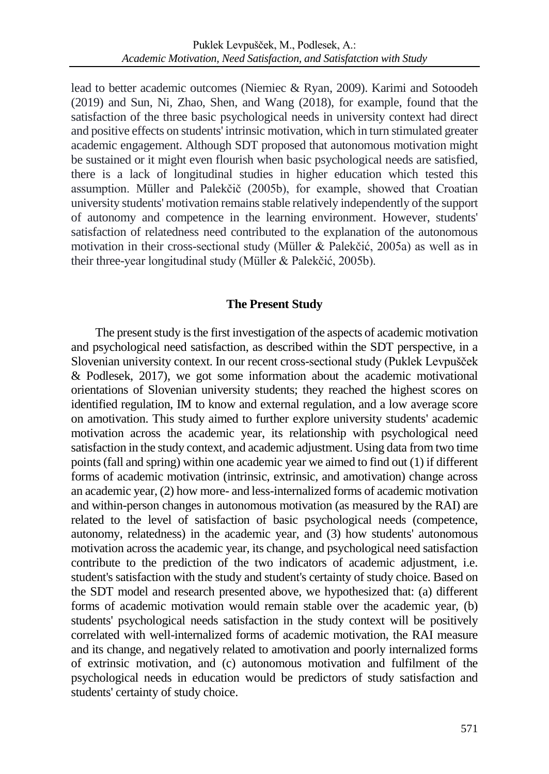lead to better academic outcomes (Niemiec & Ryan, 2009). Karimi and Sotoodeh (2019) and Sun, Ni, Zhao, Shen, and Wang (2018), for example, found that the satisfaction of the three basic psychological needs in university context had direct and positive effects on students' intrinsic motivation, which in turn stimulated greater academic engagement. Although SDT proposed that autonomous motivation might be sustained or it might even flourish when basic psychological needs are satisfied, there is a lack of longitudinal studies in higher education which tested this assumption. Müller and Palekčič (2005b), for example, showed that Croatian university students' motivation remains stable relatively independently of the support of autonomy and competence in the learning environment. However, students' satisfaction of relatedness need contributed to the explanation of the autonomous motivation in their cross-sectional study (Müller & Palekčić, 2005a) as well as in their three-year longitudinal study (Müller & Palekčić, 2005b).

# **The Present Study**

The present study is the first investigation of the aspects of academic motivation and psychological need satisfaction, as described within the SDT perspective, in a Slovenian university context. In our recent cross-sectional study (Puklek Levpušček & Podlesek, 2017), we got some information about the academic motivational orientations of Slovenian university students; they reached the highest scores on identified regulation, IM to know and external regulation, and a low average score on amotivation. This study aimed to further explore university students' academic motivation across the academic year, its relationship with psychological need satisfaction in the study context, and academic adjustment. Using data from two time points (fall and spring) within one academic year we aimed to find out (1) if different forms of academic motivation (intrinsic, extrinsic, and amotivation) change across an academic year, (2) how more- and less-internalized forms of academic motivation and within-person changes in autonomous motivation (as measured by the RAI) are related to the level of satisfaction of basic psychological needs (competence, autonomy, relatedness) in the academic year, and (3) how students' autonomous motivation across the academic year, its change, and psychological need satisfaction contribute to the prediction of the two indicators of academic adjustment, i.e. student's satisfaction with the study and student's certainty of study choice. Based on the SDT model and research presented above, we hypothesized that: (a) different forms of academic motivation would remain stable over the academic year, (b) students' psychological needs satisfaction in the study context will be positively correlated with well-internalized forms of academic motivation, the RAI measure and its change, and negatively related to amotivation and poorly internalized forms of extrinsic motivation, and (c) autonomous motivation and fulfilment of the psychological needs in education would be predictors of study satisfaction and students' certainty of study choice.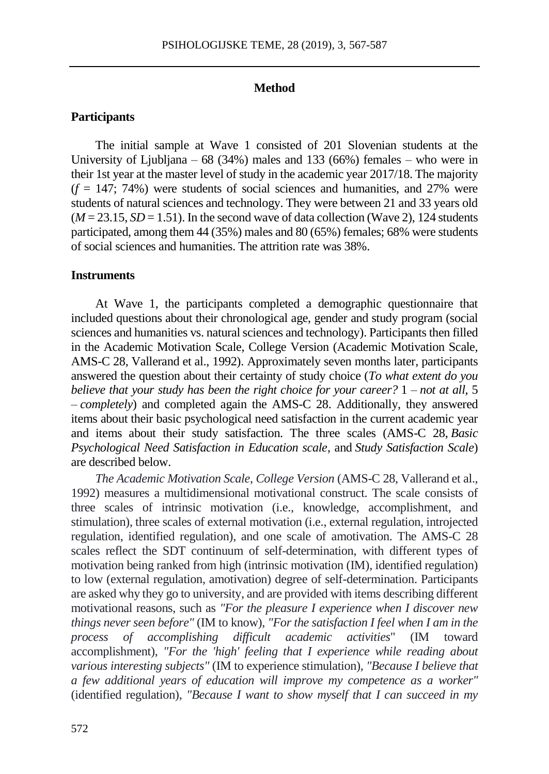#### **Method**

# **Participants**

The initial sample at Wave 1 consisted of 201 Slovenian students at the University of Liubliana – 68 (34%) males and 133 (66%) females – who were in their 1st year at the master level of study in the academic year 2017/18. The majority  $(f = 147; 74%)$  were students of social sciences and humanities, and 27% were students of natural sciences and technology. They were between 21 and 33 years old  $(M = 23.15, SD = 1.51)$ . In the second wave of data collection (Wave 2), 124 students participated, among them 44 (35%) males and 80 (65%) females; 68% were students of social sciences and humanities. The attrition rate was 38%.

#### **Instruments**

At Wave 1, the participants completed a demographic questionnaire that included questions about their chronological age, gender and study program (social sciences and humanities vs. natural sciences and technology). Participants then filled in the Academic Motivation Scale, College Version (Academic Motivation Scale, AMS-C 28, Vallerand et al., 1992). Approximately seven months later, participants answered the question about their certainty of study choice (*To what extent do you believe that your study has been the right choice for your career?* 1 – *not at all*, 5 – *completely*) and completed again the AMS-C 28. Additionally, they answered items about their basic psychological need satisfaction in the current academic year and items about their study satisfaction. The three scales (AMS-C 28, *Basic Psychological Need Satisfaction in Education scale*, and *Study Satisfaction Scale*) are described below.

*The Academic Motivation Scale*, *College Version* (AMS-C 28, Vallerand et al., 1992) measures a multidimensional motivational construct. The scale consists of three scales of intrinsic motivation (i.e., knowledge, accomplishment, and stimulation), three scales of external motivation (i.e., external regulation, introjected regulation, identified regulation), and one scale of amotivation. The AMS-C 28 scales reflect the SDT continuum of self-determination, with different types of motivation being ranked from high (intrinsic motivation (IM), identified regulation) to low (external regulation, amotivation) degree of self-determination. Participants are asked why they go to university, and are provided with items describing different motivational reasons, such as *"For the pleasure I experience when I discover new things never seen before"* (IM to know), *"For the satisfaction I feel when I am in the process of accomplishing difficult academic activities*" (IM toward accomplishment), *"For the 'high' feeling that I experience while reading about various interesting subjects"* (IM to experience stimulation), *"Because I believe that a few additional years of education will improve my competence as a worker"* (identified regulation), *"Because I want to show myself that I can succeed in my*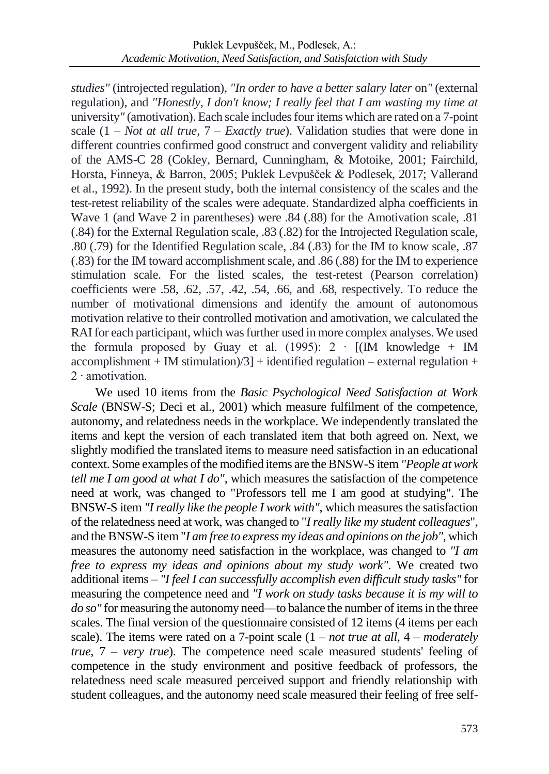*studies"* (introjected regulation), *"In order to have a better salary later* on*"* (external regulation), and *"Honestly, I don't know; I really feel that I am wasting my time at*  university*"* (amotivation). Each scale includes four items which are rated on a 7-point scale (1 – *Not at all true*, 7 – *Exactly true*). Validation studies that were done in different countries confirmed good construct and convergent validity and reliability of the AMS-C 28 (Cokley, Bernard, Cunningham, & Motoike, 2001; Fairchild, Horsta, Finneya, & Barron, 2005; Puklek Levpušček & Podlesek, 2017; Vallerand et al., 1992). In the present study, both the internal consistency of the scales and the test-retest reliability of the scales were adequate. Standardized alpha coefficients in Wave 1 (and Wave 2 in parentheses) were .84 (.88) for the Amotivation scale, .81 (.84) for the External Regulation scale, .83 (.82) for the Introjected Regulation scale, .80 (.79) for the Identified Regulation scale, .84 (.83) for the IM to know scale, .87 (.83) for the IM toward accomplishment scale, and .86 (.88) for the IM to experience stimulation scale. For the listed scales, the test-retest (Pearson correlation) coefficients were .58, .62, .57, .42, .54, .66, and .68, respectively. To reduce the number of motivational dimensions and identify the amount of autonomous motivation relative to their controlled motivation and amotivation, we calculated the RAI for each participant, which was further used in more complex analyses. We used the formula proposed by Guay et al. (1995): 2 ⋅ [(IM knowledge + IM  $accomplishment + IM stimulation)/3] + identified regulation - external regulation +$ 2 ∙ amotivation.

We used 10 items from the *Basic Psychological Need Satisfaction at Work Scale* (BNSW-S; Deci et al., 2001) which measure fulfilment of the competence, autonomy, and relatedness needs in the workplace. We independently translated the items and kept the version of each translated item that both agreed on. Next, we slightly modified the translated items to measure need satisfaction in an educational context. Some examples of the modified items are the BNSW-S item *"People at work tell me I am good at what I do"*, which measures the satisfaction of the competence need at work, was changed to "Professors tell me I am good at studying". The BNSW-S item *"I really like the people I work with"*, which measures the satisfaction of the relatedness need at work, was changed to "*I really like my student colleagues*", and the BNSW-S item "*I am free to express my ideas and opinions on the job"*, which measures the autonomy need satisfaction in the workplace, was changed to *"I am free to express my ideas and opinions about my study work"*. We created two additional items – *"I feel I can successfully accomplish even difficult study tasks"* for measuring the competence need and *"I work on study tasks because it is my will to do so"* for measuring the autonomy need––to balance the number of items in the three scales. The final version of the questionnaire consisted of 12 items (4 items per each scale). The items were rated on a 7-point scale (1 – *not true at all*, 4 – *moderately true*, 7 – *very true*). The competence need scale measured students' feeling of competence in the study environment and positive feedback of professors, the relatedness need scale measured perceived support and friendly relationship with student colleagues, and the autonomy need scale measured their feeling of free self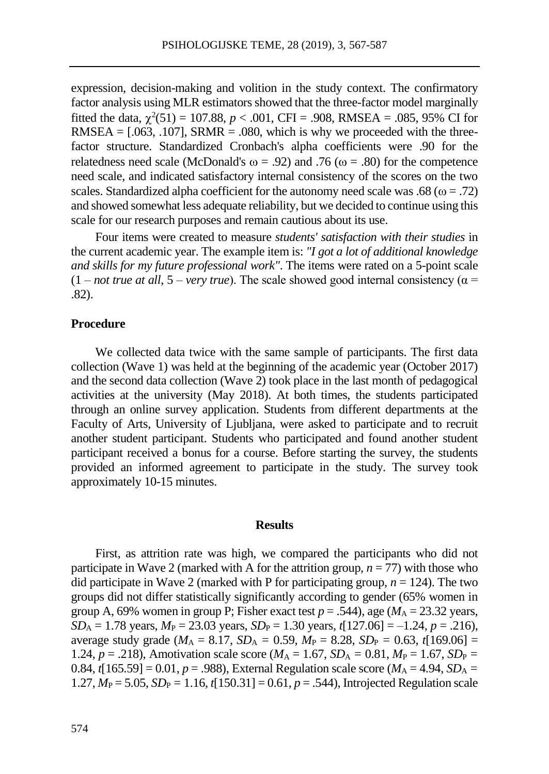expression, decision-making and volition in the study context. The confirmatory factor analysis using MLR estimators showed that the three-factor model marginally fitted the data,  $\chi^2(51) = 107.88$ ,  $p < .001$ , CFI = .908, RMSEA = .085, 95% CI for RMSEA =  $[.063, .107]$ , SRMR =  $.080$ , which is why we proceeded with the threefactor structure. Standardized Cronbach's alpha coefficients were .90 for the relatedness need scale (McDonald's  $\omega = .92$ ) and .76 ( $\omega = .80$ ) for the competence need scale, and indicated satisfactory internal consistency of the scores on the two scales. Standardized alpha coefficient for the autonomy need scale was .68 ( $\omega = .72$ ) and showed somewhat less adequate reliability, but we decided to continue using this scale for our research purposes and remain cautious about its use.

Four items were created to measure *students' satisfaction with their studies* in the current academic year. The example item is: *"I got a lot of additional knowledge and skills for my future professional work"*. The items were rated on a 5-point scale  $(1 - not true at all, 5 - very true)$ . The scale showed good internal consistency ( $\alpha =$ .82).

### **Procedure**

We collected data twice with the same sample of participants. The first data collection (Wave 1) was held at the beginning of the academic year (October 2017) and the second data collection (Wave 2) took place in the last month of pedagogical activities at the university (May 2018). At both times, the students participated through an online survey application. Students from different departments at the Faculty of Arts, University of Ljubljana, were asked to participate and to recruit another student participant. Students who participated and found another student participant received a bonus for a course. Before starting the survey, the students provided an informed agreement to participate in the study. The survey took approximately 10-15 minutes.

#### **Results**

First, as attrition rate was high, we compared the participants who did not participate in Wave 2 (marked with A for the attrition group,  $n = 77$ ) with those who did participate in Wave 2 (marked with P for participating group,  $n = 124$ ). The two groups did not differ statistically significantly according to gender (65% women in group A, 69% women in group P; Fisher exact test  $p = .544$ ), age ( $M_A = 23.32$  years,  $SD_A = 1.78$  years,  $M_P = 23.03$  years,  $SD_P = 1.30$  years,  $t[127.06] = -1.24$ ,  $p = .216$ ), average study grade ( $M_A = 8.17$ ,  $SD_A = 0.59$ ,  $M_P = 8.28$ ,  $SD_P = 0.63$ ,  $t[169.06] =$ 1.24,  $p = .218$ ), Amotivation scale score ( $M_A = 1.67$ ,  $SD_A = 0.81$ ,  $M_P = 1.67$ ,  $SD_P =$ 0.84,  $t[165.59] = 0.01$ ,  $p = .988$ ), External Regulation scale score ( $M_A = 4.94$ ,  $SD_A =$  $1.27, M_P = 5.05, SD_P = 1.16, t[150.31] = 0.61, p = .544$ ), Introjected Regulation scale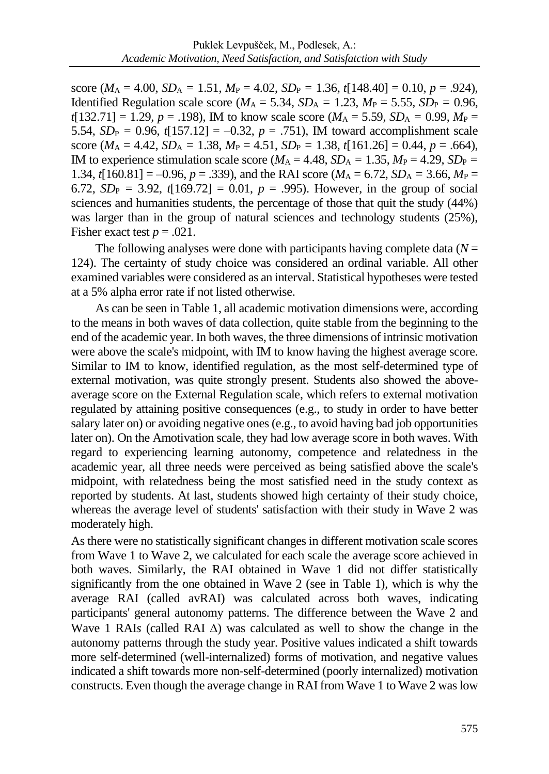score ( $M_A = 4.00$ ,  $SD_A = 1.51$ ,  $M_P = 4.02$ ,  $SD_P = 1.36$ ,  $t[148.40] = 0.10$ ,  $p = .924$ ), Identified Regulation scale score ( $M_A = 5.34$ ,  $SD_A = 1.23$ ,  $M_P = 5.55$ ,  $SD_P = 0.96$ ,  $t[132.71] = 1.29$ ,  $p = .198$ ), IM to know scale score ( $M_A = 5.59$ ,  $SD_A = 0.99$ ,  $M_P =$ 5.54,  $SD_P = 0.96$ ,  $t[157.12] = -0.32$ ,  $p = .751$ ), IM toward accomplishment scale score ( $M_A = 4.42$ ,  $SD_A = 1.38$ ,  $M_P = 4.51$ ,  $SD_P = 1.38$ ,  $t[161.26] = 0.44$ ,  $p = .664$ ), IM to experience stimulation scale score ( $M_A = 4.48$ ,  $SD_A = 1.35$ ,  $M_P = 4.29$ ,  $SD_P =$ 1.34,  $t[160.81] = -0.96$ ,  $p = .339$ ), and the RAI score ( $M_A = 6.72$ ,  $SD_A = 3.66$ ,  $M_P =$ 6.72,  $SD_P = 3.92$ ,  $t[169.72] = 0.01$ ,  $p = .995$ ). However, in the group of social sciences and humanities students, the percentage of those that quit the study (44%) was larger than in the group of natural sciences and technology students (25%), Fisher exact test  $p = .021$ .

The following analyses were done with participants having complete data (*N* = 124). The certainty of study choice was considered an ordinal variable. All other examined variables were considered as an interval. Statistical hypotheses were tested at a 5% alpha error rate if not listed otherwise.

As can be seen in Table 1, all academic motivation dimensions were, according to the means in both waves of data collection, quite stable from the beginning to the end of the academic year. In both waves, the three dimensions of intrinsic motivation were above the scale's midpoint, with IM to know having the highest average score. Similar to IM to know, identified regulation, as the most self-determined type of external motivation, was quite strongly present. Students also showed the aboveaverage score on the External Regulation scale, which refers to external motivation regulated by attaining positive consequences (e.g., to study in order to have better salary later on) or avoiding negative ones (e.g., to avoid having bad job opportunities later on). On the Amotivation scale, they had low average score in both waves. With regard to experiencing learning autonomy, competence and relatedness in the academic year, all three needs were perceived as being satisfied above the scale's midpoint, with relatedness being the most satisfied need in the study context as reported by students. At last, students showed high certainty of their study choice, whereas the average level of students' satisfaction with their study in Wave 2 was moderately high.

As there were no statistically significant changes in different motivation scale scores from Wave 1 to Wave 2, we calculated for each scale the average score achieved in both waves. Similarly, the RAI obtained in Wave 1 did not differ statistically significantly from the one obtained in Wave 2 (see in Table 1), which is why the average RAI (called avRAI) was calculated across both waves, indicating participants' general autonomy patterns. The difference between the Wave 2 and Wave 1 RAIs (called RAI  $\Delta$ ) was calculated as well to show the change in the autonomy patterns through the study year. Positive values indicated a shift towards more self-determined (well-internalized) forms of motivation, and negative values indicated a shift towards more non-self-determined (poorly internalized) motivation constructs. Even though the average change in RAI from Wave 1 to Wave 2 was low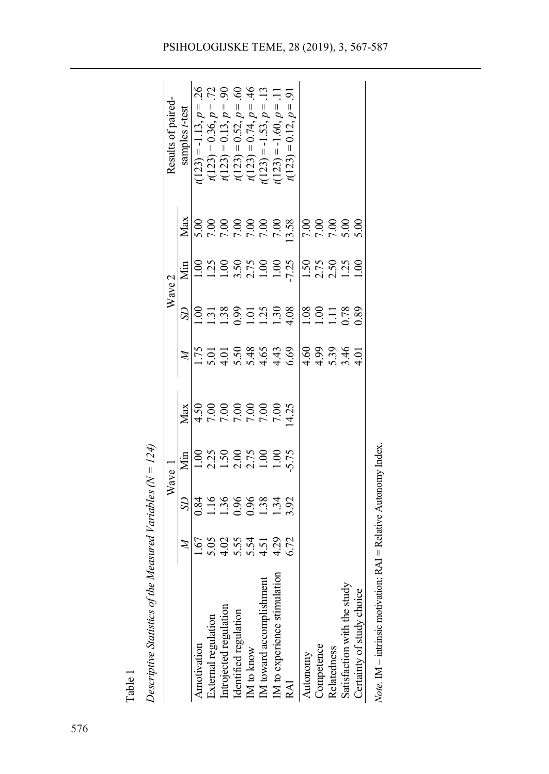|                                                          |              | Descriptive Statistics of the Measured Variables $(N = 124)$ |                                                                              |                                                                            |                                      |                              |                                                                                        |     |                                                                                                                                                                                             |
|----------------------------------------------------------|--------------|--------------------------------------------------------------|------------------------------------------------------------------------------|----------------------------------------------------------------------------|--------------------------------------|------------------------------|----------------------------------------------------------------------------------------|-----|---------------------------------------------------------------------------------------------------------------------------------------------------------------------------------------------|
|                                                          |              | Wave                                                         |                                                                              |                                                                            |                                      |                              | $\rm{Wave}$ 2                                                                          |     | Results of paired                                                                                                                                                                           |
|                                                          | $\cancel{z}$ | S                                                            | Мin                                                                          | Max                                                                        | $\mathbb{Z}$                         | S                            | Ńщ                                                                                     | Max | samples t-test                                                                                                                                                                              |
| Amotivation                                              | $-1.67$      | 0.84<br>1.16<br>1.36<br>0.98<br>1.34<br>1.39<br>1.39         | $1.00$<br>$2.25$<br>$2.30$<br>$2.75$<br>$2.75$<br>$2.75$<br>$1.50$<br>$1.50$ | $\begin{array}{c} 5.736 \\ 2.0000 \\ 0.0000 \\ 0.0000 \\ 0.05 \end{array}$ |                                      | ĕ                            | $1.00$<br>$1.25$<br>$1.35$<br>$1.35$<br>$1.35$<br>$1.35$<br>$1.35$<br>$1.35$<br>$1.35$ |     | $=-1.13, p$<br>t(123)                                                                                                                                                                       |
| External regulation                                      |              |                                                              |                                                                              |                                                                            |                                      |                              |                                                                                        |     | 72, 90                                                                                                                                                                                      |
|                                                          |              |                                                              |                                                                              |                                                                            |                                      |                              |                                                                                        |     |                                                                                                                                                                                             |
| Introjected regulation<br>Identified regulation          |              |                                                              |                                                                              |                                                                            |                                      |                              |                                                                                        |     | 60                                                                                                                                                                                          |
| IM to know                                               |              |                                                              |                                                                              |                                                                            |                                      |                              |                                                                                        |     | 46                                                                                                                                                                                          |
| IM toward accomplishment<br>IM to experience stimulation |              |                                                              |                                                                              |                                                                            |                                      |                              |                                                                                        |     | $i(123) = 0.36, p = .7$<br>$i(123) = 0.13, p = .5$<br>$i(123) = 0.52, p = .6$<br>$i(123) = 0.74, p = .6$<br>$i(123) = 0.74, p = .1$<br>$i(123) = -1.60, p = .1$<br>$i(123) = -1.60, p = .1$ |
|                                                          |              |                                                              |                                                                              |                                                                            |                                      |                              |                                                                                        |     |                                                                                                                                                                                             |
| RAI                                                      | 6.72         |                                                              |                                                                              |                                                                            |                                      |                              |                                                                                        |     | $\overline{5}$<br>$t(123) = 0.12, p$                                                                                                                                                        |
| Autonomy                                                 |              |                                                              |                                                                              |                                                                            |                                      | 1.08<br>1.11<br>1.11<br>1.78 | $\frac{150}{2.75}$<br>$\frac{250}{1.30}$                                               |     |                                                                                                                                                                                             |
| Competence                                               |              |                                                              |                                                                              |                                                                            |                                      |                              |                                                                                        |     |                                                                                                                                                                                             |
| Relatedness                                              |              |                                                              |                                                                              |                                                                            | $4.60$<br>$4.99$<br>$6.39$<br>$4.60$ |                              |                                                                                        |     |                                                                                                                                                                                             |
| Satisfaction with the study                              |              |                                                              |                                                                              |                                                                            |                                      |                              |                                                                                        |     |                                                                                                                                                                                             |
| Certainty of study choice                                |              |                                                              |                                                                              |                                                                            | $\overline{0}$                       | 0.89                         |                                                                                        |     |                                                                                                                                                                                             |

| in the contract of the contract of the contract of the contract of the contract of the contract of the contract of the contract of the contract of the contract of the contract of the contract of the contract of the contrac<br>;<br>; |
|------------------------------------------------------------------------------------------------------------------------------------------------------------------------------------------------------------------------------------------|
| i                                                                                                                                                                                                                                        |
|                                                                                                                                                                                                                                          |
|                                                                                                                                                                                                                                          |
| ֠<br><br>l<br>l                                                                                                                                                                                                                          |
| $-$<br>j<br>l                                                                                                                                                                                                                            |
| ֚֬<br>İ                                                                                                                                                                                                                                  |
| ֚                                                                                                                                                                                                                                        |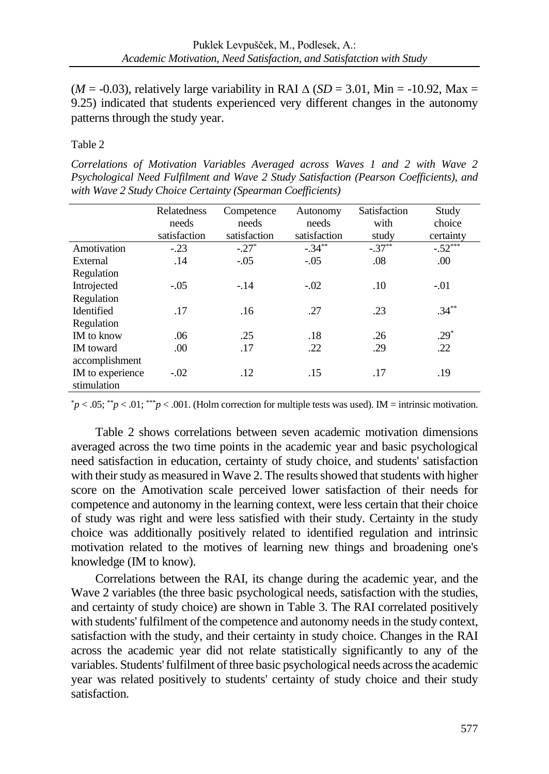( $M = -0.03$ ), relatively large variability in RAI  $\triangle$  ( $SD = 3.01$ , Min = -10.92, Max = 9.25) indicated that students experienced very different changes in the autonomy patterns through the study year.

# Table 2

*Correlations of Motivation Variables Averaged across Waves 1 and 2 with Wave 2 Psychological Need Fulfilment and Wave 2 Study Satisfaction (Pearson Coefficients), and with Wave 2 Study Choice Certainty (Spearman Coefficients)*

|                   | Relatedness  | Competence   | Autonomy     | Satisfaction | Study     |
|-------------------|--------------|--------------|--------------|--------------|-----------|
|                   | needs        | needs        | needs        | with         | choice    |
|                   | satisfaction | satisfaction | satisfaction | study        | certainty |
| Amotivation       | $-.23$       | $-.27*$      | $-.34***$    | $-.37***$    | $-.52***$ |
| External          | .14          | $-.05$       | $-.05$       | .08          | .00       |
| Regulation        |              |              |              |              |           |
| Introjected       | $-.05$       | $-.14$       | $-.02$       | .10          | $-.01$    |
| Regulation        |              |              |              |              |           |
| Identified        | .17          | .16          | .27          | .23          | $.34***$  |
| Regulation        |              |              |              |              |           |
| <b>IM</b> to know | .06          | .25          | .18          | .26          | $.29*$    |
| <b>IM</b> toward  | .00.         | .17          | .22          | .29          | .22       |
| accomplishment    |              |              |              |              |           |
| IM to experience  | $-.02$       | .12          | .15          | .17          | .19       |
| stimulation       |              |              |              |              |           |

 $p < .05$ ;  $p < .01$ ;  $p < .001$ . (Holm correction for multiple tests was used). IM = intrinsic motivation.

Table 2 shows correlations between seven academic motivation dimensions averaged across the two time points in the academic year and basic psychological need satisfaction in education, certainty of study choice, and students' satisfaction with their study as measured in Wave 2. The results showed that students with higher score on the Amotivation scale perceived lower satisfaction of their needs for competence and autonomy in the learning context, were less certain that their choice of study was right and were less satisfied with their study. Certainty in the study choice was additionally positively related to identified regulation and intrinsic motivation related to the motives of learning new things and broadening one's knowledge (IM to know).

Correlations between the RAI, its change during the academic year, and the Wave 2 variables (the three basic psychological needs, satisfaction with the studies, and certainty of study choice) are shown in Table 3. The RAI correlated positively with students' fulfilment of the competence and autonomy needs in the study context, satisfaction with the study, and their certainty in study choice. Changes in the RAI across the academic year did not relate statistically significantly to any of the variables. Students'fulfilment of three basic psychological needs across the academic year was related positively to students' certainty of study choice and their study satisfaction.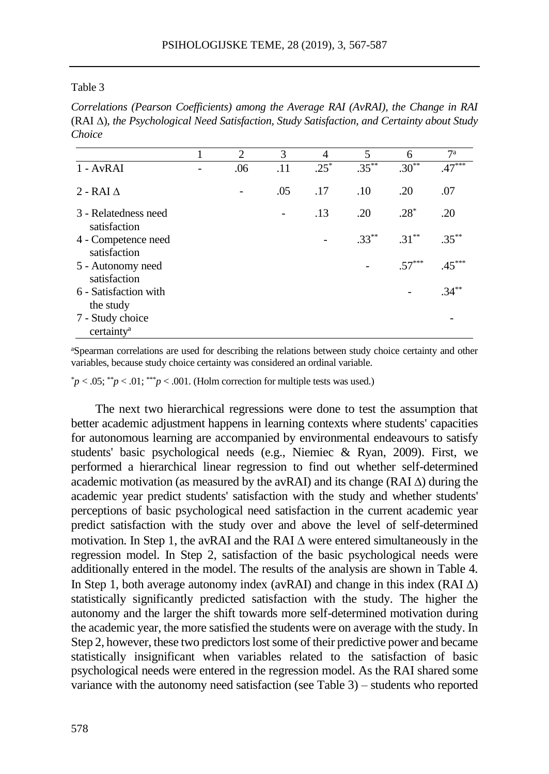#### Table 3

*Correlations (Pearson Coefficients) among the Average RAI (AvRAI), the Change in RAI* (RAI )*, the Psychological Need Satisfaction, Study Satisfaction, and Certainty about Study Choice*

|                                            | $\mathfrak{D}$ | 3   | 4      | 5        | 6        | 7 <sup>a</sup> |
|--------------------------------------------|----------------|-----|--------|----------|----------|----------------|
| $1 - AvRAI$                                | .06            | .11 | $.25*$ | $.35***$ | $.30***$ | $.47***$       |
| $2 - RAI \Lambda$                          |                | .05 | .17    | .10      | .20      | .07            |
| 3 - Relatedness need<br>satisfaction       |                |     | .13    | .20      | $.28*$   | .20            |
| 4 - Competence need<br>satisfaction        |                |     |        | $.33***$ | $.31***$ | $.35***$       |
| 5 - Autonomy need<br>satisfaction          |                |     |        |          | $.57***$ | $.45***$       |
| 6 - Satisfaction with<br>the study         |                |     |        |          |          | $.34***$       |
| 7 - Study choice<br>certainty <sup>a</sup> |                |     |        |          |          |                |

<sup>a</sup>Spearman correlations are used for describing the relations between study choice certainty and other variables, because study choice certainty was considered an ordinal variable.

 $p^*p < .05$ ; \*\**p* < .01; \*\*\**p* < .001. (Holm correction for multiple tests was used.)

The next two hierarchical regressions were done to test the assumption that better academic adjustment happens in learning contexts where students' capacities for autonomous learning are accompanied by environmental endeavours to satisfy students' basic psychological needs (e.g., Niemiec & Ryan, 2009). First, we performed a hierarchical linear regression to find out whether self-determined academic motivation (as measured by the avRAI) and its change (RAI  $\triangle$ ) during the academic year predict students' satisfaction with the study and whether students' perceptions of basic psychological need satisfaction in the current academic year predict satisfaction with the study over and above the level of self-determined motivation. In Step 1, the avRAI and the RAI  $\Delta$  were entered simultaneously in the regression model. In Step 2, satisfaction of the basic psychological needs were additionally entered in the model. The results of the analysis are shown in Table 4. In Step 1, both average autonomy index (avRAI) and change in this index (RAI  $\Delta$ ) statistically significantly predicted satisfaction with the study. The higher the autonomy and the larger the shift towards more self-determined motivation during the academic year, the more satisfied the students were on average with the study. In Step 2, however, these two predictors lost some of their predictive power and became statistically insignificant when variables related to the satisfaction of basic psychological needs were entered in the regression model. As the RAI shared some variance with the autonomy need satisfaction (see Table 3) – students who reported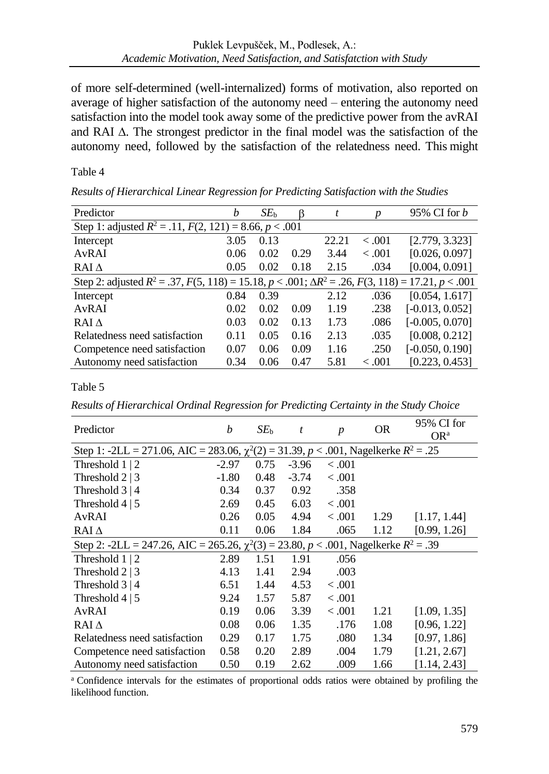of more self-determined (well-internalized) forms of motivation, also reported on average of higher satisfaction of the autonomy need – entering the autonomy need satisfaction into the model took away some of the predictive power from the avRAI and RAI  $\Delta$ . The strongest predictor in the final model was the satisfaction of the autonomy need, followed by the satisfaction of the relatedness need. This might

# Table 4

| Predictor                                                                                                               | b    | SE <sub>b</sub> |      | t     | p       | 95% CI for $b$    |  |  |  |
|-------------------------------------------------------------------------------------------------------------------------|------|-----------------|------|-------|---------|-------------------|--|--|--|
| Step 1: adjusted $R^2 = .11$ , $F(2, 121) = 8.66$ , $p < .001$                                                          |      |                 |      |       |         |                   |  |  |  |
| Intercept                                                                                                               | 3.05 | 0.13            |      | 22.21 | < 0.001 | [2.779, 3.323]    |  |  |  |
| AvRAI                                                                                                                   | 0.06 | 0.02            | 0.29 | 3.44  | < 0.001 | [0.026, 0.097]    |  |  |  |
| $RAI\Delta$                                                                                                             | 0.05 | 0.02            | 0.18 | 2.15  | .034    | [0.004, 0.091]    |  |  |  |
| Step 2: adjusted $R^2 = .37$ , $F(5, 118) = 15.18$ , $p < .001$ ; $\Delta R^2 = .26$ , $F(3, 118) = 17.21$ , $p < .001$ |      |                 |      |       |         |                   |  |  |  |
| Intercept                                                                                                               | 0.84 | 0.39            |      | 2.12  | .036    | [0.054, 1.617]    |  |  |  |
| AvRAI                                                                                                                   | 0.02 | 0.02            | 0.09 | 1.19  | .238    | $[-0.013, 0.052]$ |  |  |  |
| $RAI\Lambda$                                                                                                            | 0.03 | 0.02            | 0.13 | 1.73  | .086    | $[-0.005, 0.070]$ |  |  |  |
| Relatedness need satisfaction                                                                                           | 0.11 | 0.05            | 0.16 | 2.13  | .035    | [0.008, 0.212]    |  |  |  |
| Competence need satisfaction                                                                                            | 0.07 | 0.06            | 0.09 | 1.16  | .250    | $[-0.050, 0.190]$ |  |  |  |
| Autonomy need satisfaction                                                                                              | 0.34 | 0.06            | 0.47 | 5.81  | < 0.001 | [0.223, 0.453]    |  |  |  |

*Results of Hierarchical Linear Regression for Predicting Satisfaction with the Studies*

# Table 5

*Results of Hierarchical Ordinal Regression for Predicting Certainty in the Study Choice*

| Predictor                                                                                     | h       | $SE_{h}$ | t       | $\boldsymbol{p}$ | <b>OR</b> | 95% CI for<br>$OR^a$ |  |  |  |
|-----------------------------------------------------------------------------------------------|---------|----------|---------|------------------|-----------|----------------------|--|--|--|
| Step 1: -2LL = 271.06, AIC = 283.06, $\chi^2(2)$ = 31.39, p < .001, Nagelkerke $R^2 = .25$    |         |          |         |                  |           |                      |  |  |  |
| Threshold $1 \mid 2$                                                                          | $-2.97$ | 0.75     | $-3.96$ | < 0.001          |           |                      |  |  |  |
| Threshold $2 \mid 3$                                                                          | $-1.80$ | 0.48     | $-3.74$ | < 0.001          |           |                      |  |  |  |
| Threshold $3 \mid 4$                                                                          | 0.34    | 0.37     | 0.92    | .358             |           |                      |  |  |  |
| Threshold $4 \mid 5$                                                                          | 2.69    | 0.45     | 6.03    | < 0.001          |           |                      |  |  |  |
| AvRAI                                                                                         | 0.26    | 0.05     | 4.94    | < 0.001          | 1.29      | [1.17, 1.44]         |  |  |  |
| RAI $\Delta$                                                                                  | 0.11    | 0.06     | 1.84    | .065             | 1.12      | [0.99, 1.26]         |  |  |  |
| Step 2: -2LL = 247.26, AIC = 265.26, $\chi^2(3)$ = 23.80, $p < .001$ , Nagelkerke $R^2 = .39$ |         |          |         |                  |           |                      |  |  |  |
| Threshold $1 \mid 2$                                                                          | 2.89    | 1.51     | 1.91    | .056             |           |                      |  |  |  |
| Threshold $2 \mid 3$                                                                          | 4.13    | 1.41     | 2.94    | .003             |           |                      |  |  |  |
| Threshold $3 \mid 4$                                                                          | 6.51    | 1.44     | 4.53    | < 0.001          |           |                      |  |  |  |
| Threshold $4 \mid 5$                                                                          | 9.24    | 1.57     | 5.87    | < 0.001          |           |                      |  |  |  |
| AvRAI                                                                                         | 0.19    | 0.06     | 3.39    | < 0.001          | 1.21      | [1.09, 1.35]         |  |  |  |
| $RAI\Lambda$                                                                                  | 0.08    | 0.06     | 1.35    | .176             | 1.08      | [0.96, 1.22]         |  |  |  |
| Relatedness need satisfaction                                                                 | 0.29    | 0.17     | 1.75    | .080             | 1.34      | [0.97, 1.86]         |  |  |  |
| Competence need satisfaction                                                                  | 0.58    | 0.20     | 2.89    | .004             | 1.79      | [1.21, 2.67]         |  |  |  |
| Autonomy need satisfaction                                                                    | 0.50    | 0.19     | 2.62    | .009             | 1.66      | [1.14, 2.43]         |  |  |  |

<sup>a</sup> Confidence intervals for the estimates of proportional odds ratios were obtained by profiling the likelihood function.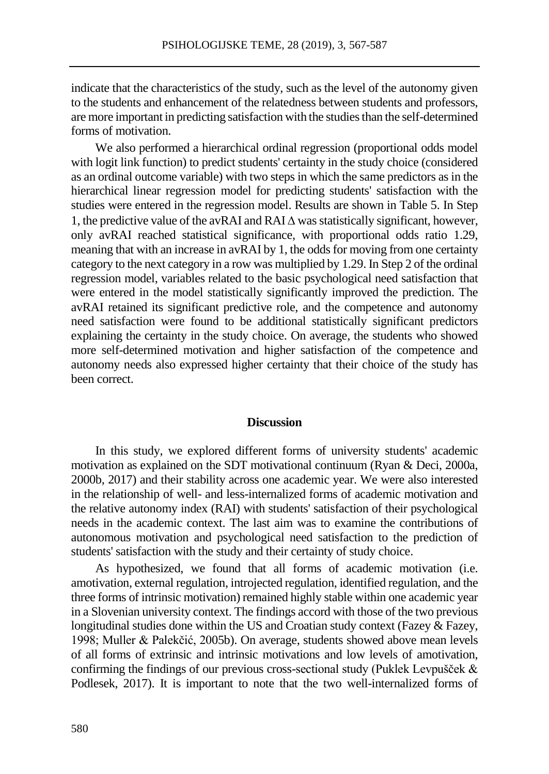indicate that the characteristics of the study, such as the level of the autonomy given to the students and enhancement of the relatedness between students and professors, are more important in predicting satisfaction with the studies than the self-determined forms of motivation.

We also performed a hierarchical ordinal regression (proportional odds model with logit link function) to predict students' certainty in the study choice (considered as an ordinal outcome variable) with two steps in which the same predictors as in the hierarchical linear regression model for predicting students' satisfaction with the studies were entered in the regression model. Results are shown in Table 5. In Step 1, the predictive value of the avRAI and RAI  $\Delta$  was statistically significant, however, only avRAI reached statistical significance, with proportional odds ratio 1.29, meaning that with an increase in avRAI by 1, the odds for moving from one certainty category to the next category in a row was multiplied by 1.29. In Step 2 of the ordinal regression model, variables related to the basic psychological need satisfaction that were entered in the model statistically significantly improved the prediction. The avRAI retained its significant predictive role, and the competence and autonomy need satisfaction were found to be additional statistically significant predictors explaining the certainty in the study choice. On average, the students who showed more self-determined motivation and higher satisfaction of the competence and autonomy needs also expressed higher certainty that their choice of the study has been correct.

#### **Discussion**

In this study, we explored different forms of university students' academic motivation as explained on the SDT motivational continuum (Ryan & Deci, 2000a, 2000b, 2017) and their stability across one academic year. We were also interested in the relationship of well- and less-internalized forms of academic motivation and the relative autonomy index (RAI) with students' satisfaction of their psychological needs in the academic context. The last aim was to examine the contributions of autonomous motivation and psychological need satisfaction to the prediction of students' satisfaction with the study and their certainty of study choice.

As hypothesized, we found that all forms of academic motivation (i.e. amotivation, external regulation, introjected regulation, identified regulation, and the three forms of intrinsic motivation) remained highly stable within one academic year in a Slovenian university context. The findings accord with those of the two previous longitudinal studies done within the US and Croatian study context (Fazey & Fazey, 1998; Muller & Palekčić, 2005b). On average, students showed above mean levels of all forms of extrinsic and intrinsic motivations and low levels of amotivation, confirming the findings of our previous cross-sectional study (Puklek Levpušček & Podlesek, 2017). It is important to note that the two well-internalized forms of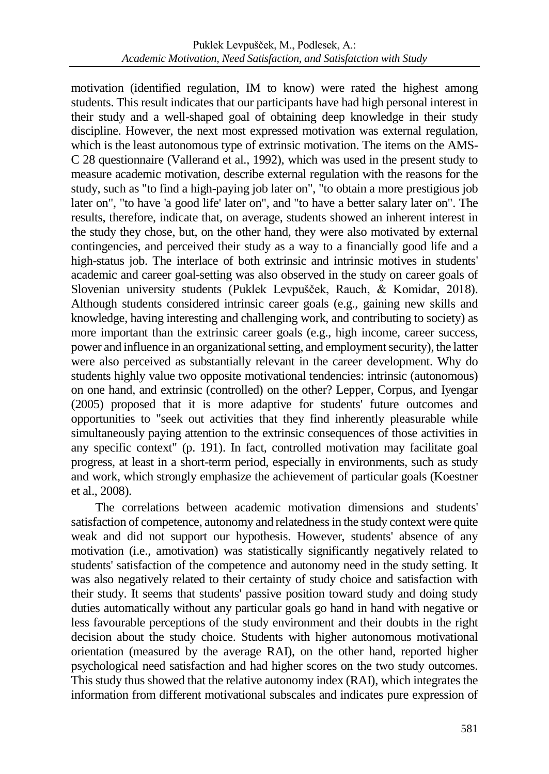motivation (identified regulation, IM to know) were rated the highest among students. This result indicates that our participants have had high personal interest in their study and a well-shaped goal of obtaining deep knowledge in their study discipline. However, the next most expressed motivation was external regulation, which is the least autonomous type of extrinsic motivation. The items on the AMS-C 28 questionnaire (Vallerand et al., 1992), which was used in the present study to measure academic motivation, describe external regulation with the reasons for the study, such as "to find a high-paying job later on", "to obtain a more prestigious job later on", "to have 'a good life' later on", and "to have a better salary later on". The results, therefore, indicate that, on average, students showed an inherent interest in the study they chose, but, on the other hand, they were also motivated by external contingencies, and perceived their study as a way to a financially good life and a high-status job. The interlace of both extrinsic and intrinsic motives in students' academic and career goal-setting was also observed in the study on career goals of Slovenian university students (Puklek Levpušček, Rauch, & Komidar, 2018). Although students considered intrinsic career goals (e.g., gaining new skills and knowledge, having interesting and challenging work, and contributing to society) as more important than the extrinsic career goals (e.g., high income, career success, power and influence in an organizational setting, and employment security), the latter were also perceived as substantially relevant in the career development. Why do students highly value two opposite motivational tendencies: intrinsic (autonomous) on one hand, and extrinsic (controlled) on the other? Lepper, Corpus, and Iyengar (2005) proposed that it is more adaptive for students' future outcomes and opportunities to "seek out activities that they find inherently pleasurable while simultaneously paying attention to the extrinsic consequences of those activities in any specific context" (p. 191). In fact, controlled motivation may facilitate goal progress, at least in a short-term period, especially in environments, such as study and work, which strongly emphasize the achievement of particular goals (Koestner et al., 2008).

The correlations between academic motivation dimensions and students' satisfaction of competence, autonomy and relatedness in the study context were quite weak and did not support our hypothesis. However, students' absence of any motivation (i.e., amotivation) was statistically significantly negatively related to students' satisfaction of the competence and autonomy need in the study setting. It was also negatively related to their certainty of study choice and satisfaction with their study. It seems that students' passive position toward study and doing study duties automatically without any particular goals go hand in hand with negative or less favourable perceptions of the study environment and their doubts in the right decision about the study choice. Students with higher autonomous motivational orientation (measured by the average RAI), on the other hand, reported higher psychological need satisfaction and had higher scores on the two study outcomes. This study thus showed that the relative autonomy index (RAI), which integrates the information from different motivational subscales and indicates pure expression of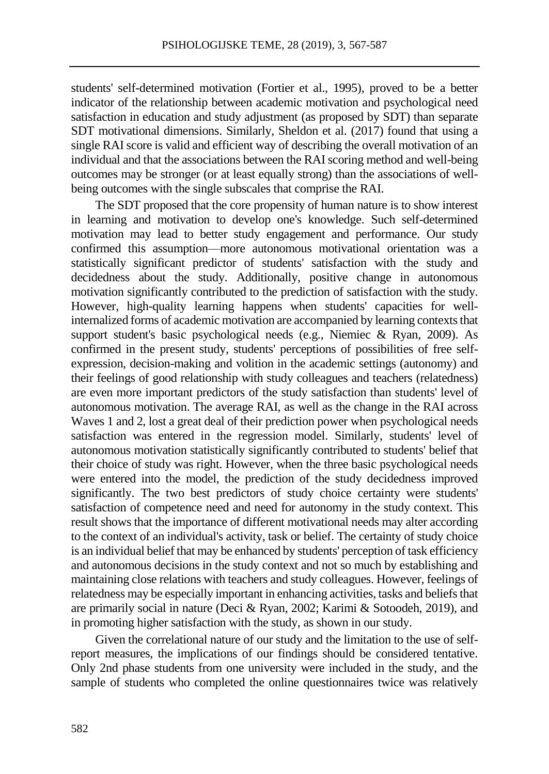students' self-determined motivation (Fortier et al., 1995), proved to be a better indicator of the relationship between academic motivation and psychological need satisfaction in education and study adjustment (as proposed by SDT) than separate SDT motivational dimensions. Similarly, Sheldon et al. (2017) found that using a single RAI score is valid and efficient way of describing the overall motivation of an individual and that the associations between the RAI scoring method and well-being outcomes may be stronger (or at least equally strong) than the associations of wellbeing outcomes with the single subscales that comprise the RAI.

The SDT proposed that the core propensity of human nature is to show interest in learning and motivation to develop one's knowledge. Such self-determined motivation may lead to better study engagement and performance. Our study confirmed this assumption––more autonomous motivational orientation was a statistically significant predictor of students' satisfaction with the study and decidedness about the study. Additionally, positive change in autonomous motivation significantly contributed to the prediction of satisfaction with the study. However, high-quality learning happens when students' capacities for wellinternalized forms of academic motivation are accompanied by learning contexts that support student's basic psychological needs (e.g., Niemiec & Ryan, 2009). As confirmed in the present study, students' perceptions of possibilities of free selfexpression, decision-making and volition in the academic settings (autonomy) and their feelings of good relationship with study colleagues and teachers (relatedness) are even more important predictors of the study satisfaction than students' level of autonomous motivation. The average RAI, as well as the change in the RAI across Waves 1 and 2, lost a great deal of their prediction power when psychological needs satisfaction was entered in the regression model. Similarly, students' level of autonomous motivation statistically significantly contributed to students' belief that their choice of study was right. However, when the three basic psychological needs were entered into the model, the prediction of the study decidedness improved significantly. The two best predictors of study choice certainty were students' satisfaction of competence need and need for autonomy in the study context. This result shows that the importance of different motivational needs may alter according to the context of an individual's activity, task or belief. The certainty of study choice is an individual belief that may be enhanced by students' perception of task efficiency and autonomous decisions in the study context and not so much by establishing and maintaining close relations with teachers and study colleagues. However, feelings of relatedness may be especially important in enhancing activities, tasks and beliefs that are primarily social in nature (Deci & Ryan, 2002; Karimi & Sotoodeh, 2019), and in promoting higher satisfaction with the study, as shown in our study.

Given the correlational nature of our study and the limitation to the use of selfreport measures, the implications of our findings should be considered tentative. Only 2nd phase students from one university were included in the study, and the sample of students who completed the online questionnaires twice was relatively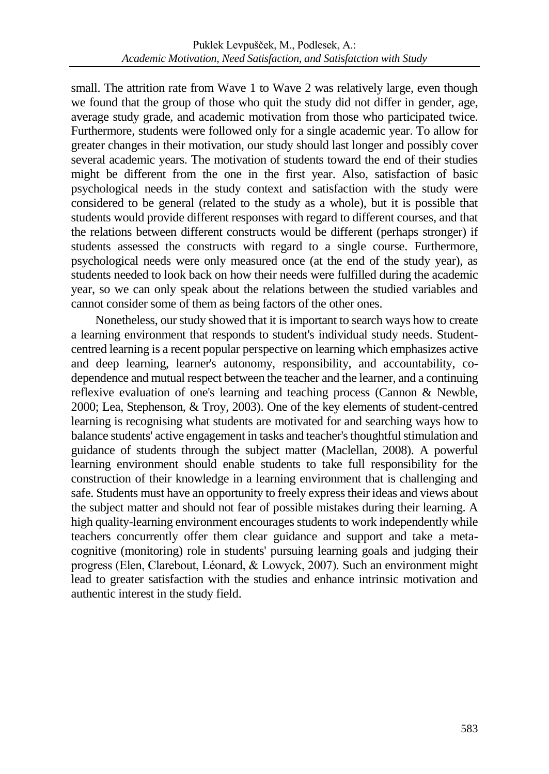small. The attrition rate from Wave 1 to Wave 2 was relatively large, even though we found that the group of those who quit the study did not differ in gender, age, average study grade, and academic motivation from those who participated twice. Furthermore, students were followed only for a single academic year. To allow for greater changes in their motivation, our study should last longer and possibly cover several academic years. The motivation of students toward the end of their studies might be different from the one in the first year. Also, satisfaction of basic psychological needs in the study context and satisfaction with the study were considered to be general (related to the study as a whole), but it is possible that students would provide different responses with regard to different courses, and that the relations between different constructs would be different (perhaps stronger) if students assessed the constructs with regard to a single course. Furthermore, psychological needs were only measured once (at the end of the study year), as students needed to look back on how their needs were fulfilled during the academic year, so we can only speak about the relations between the studied variables and cannot consider some of them as being factors of the other ones.

Nonetheless, our study showed that it is important to search ways how to create a learning environment that responds to student's individual study needs. Studentcentred learning is a recent popular perspective on learning which emphasizes active and deep learning, learner's autonomy, responsibility, and accountability, codependence and mutual respect between the teacher and the learner, and a continuing reflexive evaluation of one's learning and teaching process (Cannon & Newble, 2000; Lea, Stephenson, & Troy, 2003). One of the key elements of student-centred learning is recognising what students are motivated for and searching ways how to balance students' active engagement in tasks and teacher's thoughtful stimulation and guidance of students through the subject matter (Maclellan, 2008). A powerful learning environment should enable students to take full responsibility for the construction of their knowledge in a learning environment that is challenging and safe. Students must have an opportunity to freely express their ideas and views about the subject matter and should not fear of possible mistakes during their learning. A high quality-learning environment encourages students to work independently while teachers concurrently offer them clear guidance and support and take a metacognitive (monitoring) role in students' pursuing learning goals and judging their progress (Elen, Clarebout, Léonard, & Lowyck, 2007). Such an environment might lead to greater satisfaction with the studies and enhance intrinsic motivation and authentic interest in the study field.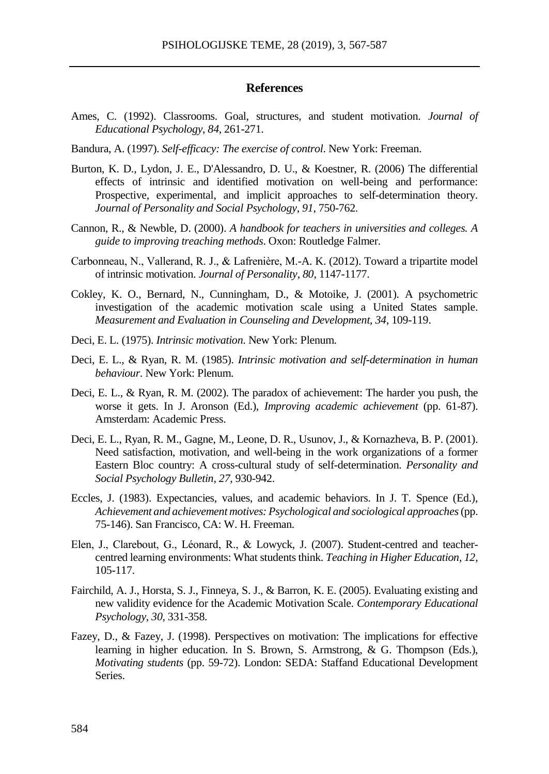#### **References**

- Ames, C. (1992). Classrooms. Goal, structures, and student motivation. *Journal of Educational Psychology*, *84*, 261-271.
- Bandura, A. (1997). *Self-efficacy: The exercise of control*. New York: Freeman.
- Burton, K. D., Lydon, J. E., D'Alessandro, D. U., & Koestner, R. (2006) The differential effects of intrinsic and identified motivation on well-being and performance: Prospective, experimental, and implicit approaches to self-determination theory. *Journal of Personality and Social Psychology*, *91*, 750-762.
- Cannon, R., & Newble, D. (2000). *A handbook for teachers in universities and colleges. A guide to improving treaching methods*. Oxon: Routledge Falmer.
- Carbonneau, N., Vallerand, R. J., & Lafreniѐre, M.-A. K. (2012). Toward a tripartite model of intrinsic motivation. *Journal of Personality*, *80*, 1147-1177.
- Cokley, K. O., Bernard, N., Cunningham, D., & Motoike, J. (2001). A psychometric investigation of the academic motivation scale using a United States sample. *Measurement and Evaluation in Counseling and Development*, *34*, 109-119.
- Deci, E. L. (1975). *Intrinsic motivation*. New York: Plenum.
- Deci, E. L., & Ryan, R. M. (1985). *Intrinsic motivation and self-determination in human behaviour*. New York: Plenum.
- Deci, E. L., & Ryan, R. M. (2002). The paradox of achievement: The harder you push, the worse it gets. In J. Aronson (Ed.), *Improving academic achievement* (pp. 61-87). Amsterdam: Academic Press.
- Deci, E. L., Ryan, R. M., Gagne, M., Leone, D. R., Usunov, J., & Kornazheva, B. P. (2001). Need satisfaction, motivation, and well-being in the work organizations of a former Eastern Bloc country: A cross-cultural study of self-determination. *Personality and Social Psychology Bulletin*, *27*, 930-942.
- Eccles, J. (1983). Expectancies, values, and academic behaviors. In J. T. Spence (Ed.), *Achievement and achievement motives: Psychological and sociological approaches* (pp. 75-146). San Francisco, CA: W. H. Freeman.
- Elen, J., Clarebout, G., Léonard, R., & Lowyck, J. (2007). Student-centred and teachercentred learning environments: What students think. *Teaching in Higher Education*, *12*, 105-117.
- Fairchild, A. J., Horsta, S. J., Finneya, S. J., & Barron, K. E. (2005). Evaluating existing and new validity evidence for the Academic Motivation Scale. *Contemporary Educational Psychology*, *30*, 331-358.
- Fazey, D., & Fazey, J. (1998). Perspectives on motivation: The implications for effective learning in higher education. In S. Brown, S. Armstrong, & G. Thompson (Eds.), *Motivating students* (pp. 59-72). London: SEDA: Staffand Educational Development Series.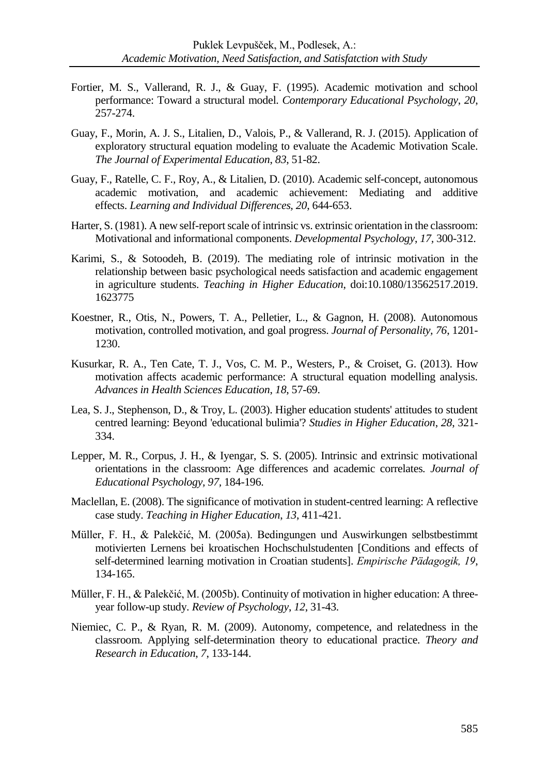- Fortier, M. S., Vallerand, R. J., & Guay, F. (1995). Academic motivation and school performance: Toward a structural model. *Contemporary Educational Psychology*, *20*, 257-274.
- Guay, F., Morin, A. J. S., Litalien, D., Valois, P., & Vallerand, R. J. (2015). Application of exploratory structural equation modeling to evaluate the Academic Motivation Scale. *The Journal of Experimental Education*, *83*, 51-82.
- Guay, F., Ratelle, C. F., Roy, A., & Litalien, D. (2010). Academic self-concept, autonomous academic motivation, and academic achievement: Mediating and additive effects. *Learning and Individual Differences, 20*, 644-653.
- Harter, S. (1981). A new self-report scale of intrinsic vs. extrinsic orientation in the classroom: Motivational and informational components. *Developmental Psychology*, *17,* 300-312.
- Karimi, S., & Sotoodeh, B. (2019). The mediating role of intrinsic motivation in the relationship between basic psychological needs satisfaction and academic engagement in agriculture students. *Teaching in Higher Education*, do[i:10.1080/13562517.2019.](https://doi.org/10.1080/13562517.2019.1623775) [1623775](https://doi.org/10.1080/13562517.2019.1623775)
- Koestner, R., Otis, N., Powers, T. A., Pelletier, L., & Gagnon, H. (2008). Autonomous motivation, controlled motivation, and goal progress. *Journal of Personality, 76*, 1201- 1230.
- Kusurkar, R. A., Ten Cate, T. J., Vos, C. M. P., Westers, P., & Croiset, G. (2013). How motivation affects academic performance: A structural equation modelling analysis. *Advances in Health Sciences Education*, *18*, 57-69.
- Lea, S. J., Stephenson, D., & Troy, L. (2003). Higher education students' attitudes to student centred learning: Beyond 'educational bulimia'? *Studies in Higher Education*, *28*, 321- 334.
- Lepper, M. R., Corpus, J. H., & Iyengar, S. S. (2005). Intrinsic and extrinsic motivational orientations in the classroom: Age differences and academic correlates. *Journal of Educational Psychology, 97,* 184-196.
- Maclellan, E. (2008). The significance of motivation in student-centred learning: A reflective case study. *Teaching in Higher Education*, *13*, 411-421.
- Müller, F. H., & Palekčić, M. (2005a). Bedingungen und Auswirkungen selbstbestimmt motivierten Lernens bei kroatischen Hochschulstudenten [Conditions and effects of self-determined learning motivation in Croatian students]. *Empirische Pädagogik, 19*, 134-165.
- Müller, F. H., & Palekčić, M. (2005b). Continuity of motivation in higher education: A threeyear follow-up study. *Review of Psychology*, *12*, 31-43.
- Niemiec, C. P., & Ryan, R. M. (2009). Autonomy, competence, and relatedness in the classroom. Applying self-determination theory to educational practice. *Theory and Research in Education*, *7*, 133-144.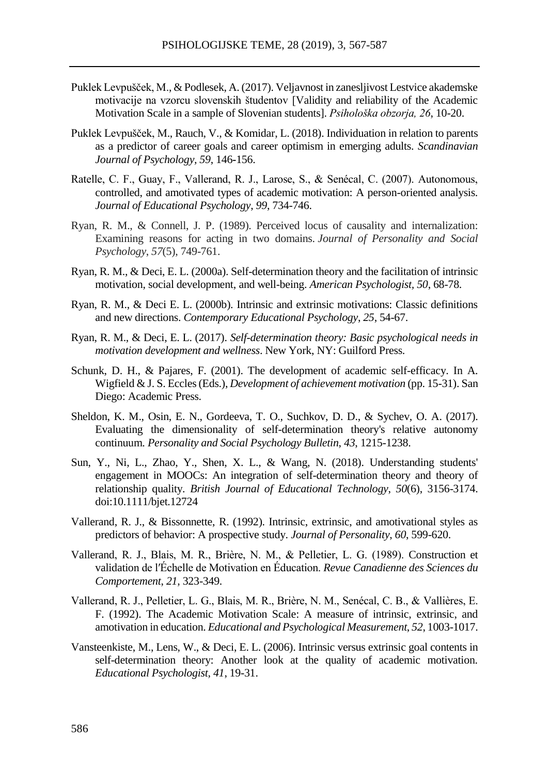- Puklek Levpušček, M., & Podlesek, A. (2017). Veljavnost in zanesljivost Lestvice akademske motivacije na vzorcu slovenskih študentov [Validity and reliability of the Academic Motivation Scale in a sample of Slovenian students]. *Psihološka obzorja, 26*, 10-20.
- Puklek Levpušček, M., Rauch, V., & Komidar, L. (2018). Individuation in relation to parents as a predictor of career goals and career optimism in emerging adults. *Scandinavian Journal of Psychology, 59*, 146**-**156.
- Ratelle, C. F., Guay, F., Vallerand, R. J., Larose, S., & Senécal, C. (2007). Autonomous, controlled, and amotivated types of academic motivation: A person-oriented analysis. *Journal of Educational Psychology*, *99*, 734-746.
- Ryan, R. M., & Connell, J. P. (1989). Perceived locus of causality and internalization: Examining reasons for acting in two domains. *Journal of Personality and Social Psychology*, *57*(5), 749-761.
- Ryan, R. M., & Deci, E. L. (2000a). Self-determination theory and the facilitation of intrinsic motivation, social development, and well-being. *American Psychologist, 50*, 68-78.
- Ryan, R. M., & Deci E. L. (2000b). Intrinsic and extrinsic motivations: Classic definitions and new directions. *Contemporary Educational Psychology*, *25*, 54-67.
- Ryan, R. M., & Deci, E. L. (2017). *Self-determination theory: Basic psychological needs in motivation development and wellness*. New York, NY: Guilford Press.
- Schunk, D. H., & Pajares, F. (2001). The development of academic self-efficacy. In A. Wigfield & J. S. Eccles (Eds.), *Development of achievement motivation* (pp. 15-31). San Diego: Academic Press.
- Sheldon, K. M., Osin, E. N., Gordeeva, T. O., Suchkov, D. D., & Sychev, O. A. (2017). Evaluating the dimensionality of self-determination theory's relative autonomy continuum. *Personality and Social Psychology Bulletin*, *43*, 1215-1238.
- Sun, Y., Ni, L., Zhao, Y., Shen, X. L., & Wang, N. (2018). Understanding students' engagement in MOOCs: An integration of self-determination theory and theory of relationship quality. *British Journal of Educational Technology*, *50*(6), 3156-3174. doi:10.1111/bjet.12724
- Vallerand, R. J., & Bissonnette, R. (1992). Intrinsic, extrinsic, and amotivational styles as predictors of behavior: A prospective study. *Journal of Personality*, *60*, 599-620.
- Vallerand, R. J., Blais, M. R., Brière, N. M., & Pelletier, L. G. (1989). Construction et validation de l′Échelle de Motivation en Éducation. *Revue Canadienne des Sciences du Comportement*, *21,* 323-349.
- Vallerand, R. J., Pelletier, L. G., Blais, M. R., Brière, N. M., Senécal, C. B., & Vallières, E. F. (1992). The Academic Motivation Scale: A measure of intrinsic, extrinsic, and amotivation in education. *Educational and Psychological Measurement*, *52*, 1003-1017.
- Vansteenkiste, M., Lens, W., & Deci, E. L. (2006). Intrinsic versus extrinsic goal contents in self-determination theory: Another look at the quality of academic motivation. *Educational Psychologist, 41*, 19-31.